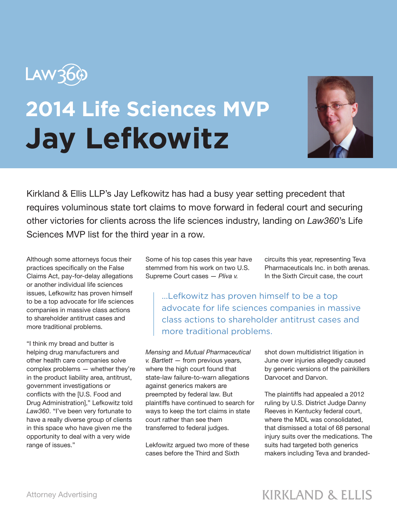

## **2014 Life Sciences MVP Jay Lefkowitz**



Kirkland & Ellis LLP's Jay Lefkowitz has had a busy year setting precedent that requires voluminous state tort claims to move forward in federal court and securing other victories for clients across the life sciences industry, landing on *Law360*'s Life Sciences MVP list for the third year in a row.

Although some attorneys focus their practices specifically on the False Claims Act, pay-for-delay allegations or another individual life sciences issues, Lefkowitz has proven himself to be a top advocate for life sciences companies in massive class actions to shareholder antitrust cases and more traditional problems.

"I think my bread and butter is helping drug manufacturers and other health care companies solve complex problems — whether they're in the product liability area, antitrust, government investigations or conflicts with the [U.S. Food and Drug Administration]," Lefkowitz told *Law360*. "I've been very fortunate to have a really diverse group of clients in this space who have given me the opportunity to deal with a very wide range of issues."

Some of his top cases this year have stemmed from his work on two U.S. Supreme Court cases — *Pliva v.*

circuits this year, representing Teva Pharmaceuticals Inc. in both arenas. In the Sixth Circuit case, the court

...Lefkowitz has proven himself to be a top advocate for life sciences companies in massive class actions to shareholder antitrust cases and more traditional problems.

*Mensing* and *Mutual Pharmaceutical v. Bartlett* — from previous years, where the high court found that state-law failure-to-warn allegations against generics makers are preempted by federal law. But plaintiffs have continued to search for ways to keep the tort claims in state court rather than see them transferred to federal judges.

Lekfowitz argued two more of these cases before the Third and Sixth

shot down multidistrict litigation in June over injuries allegedly caused by generic versions of the painkillers Darvocet and Darvon.

The plaintiffs had appealed a 2012 ruling by U.S. District Judge Danny Reeves in Kentucky federal court, where the MDL was consolidated, that dismissed a total of 68 personal injury suits over the medications. The suits had targeted both generics makers including Teva and branded-